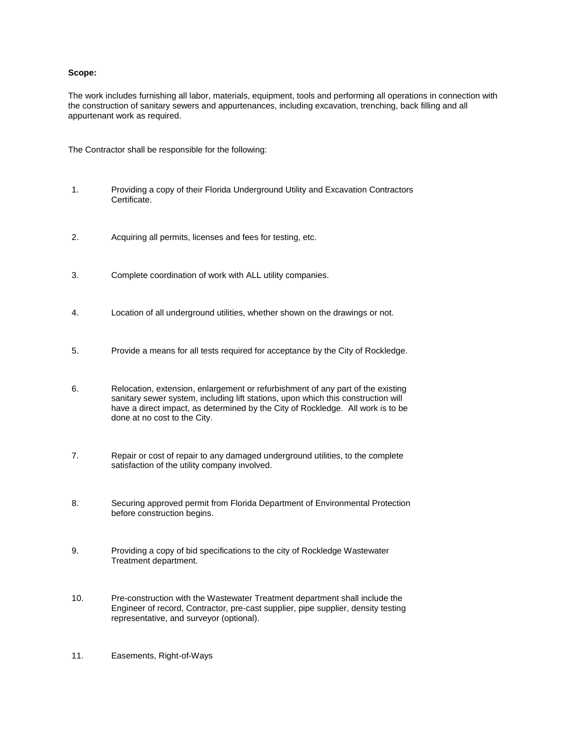### **Scope:**

The work includes furnishing all labor, materials, equipment, tools and performing all operations in connection with the construction of sanitary sewers and appurtenances, including excavation, trenching, back filling and all appurtenant work as required.

The Contractor shall be responsible for the following:

- 1. Providing a copy of their Florida Underground Utility and Excavation Contractors Certificate.
- 2. Acquiring all permits, licenses and fees for testing, etc.
- 3. Complete coordination of work with ALL utility companies.
- 4. Location of all underground utilities, whether shown on the drawings or not.
- 5. Provide a means for all tests required for acceptance by the City of Rockledge.
- 6. Relocation, extension, enlargement or refurbishment of any part of the existing sanitary sewer system, including lift stations, upon which this construction will have a direct impact, as determined by the City of Rockledge. All work is to be done at no cost to the City.
- 7. Repair or cost of repair to any damaged underground utilities, to the complete satisfaction of the utility company involved.
- 8. Securing approved permit from Florida Department of Environmental Protection before construction begins.
- 9. Providing a copy of bid specifications to the city of Rockledge Wastewater Treatment department.
- 10. Pre-construction with the Wastewater Treatment department shall include the Engineer of record, Contractor, pre-cast supplier, pipe supplier, density testing representative, and surveyor (optional).
- 11. Easements, Right-of-Ways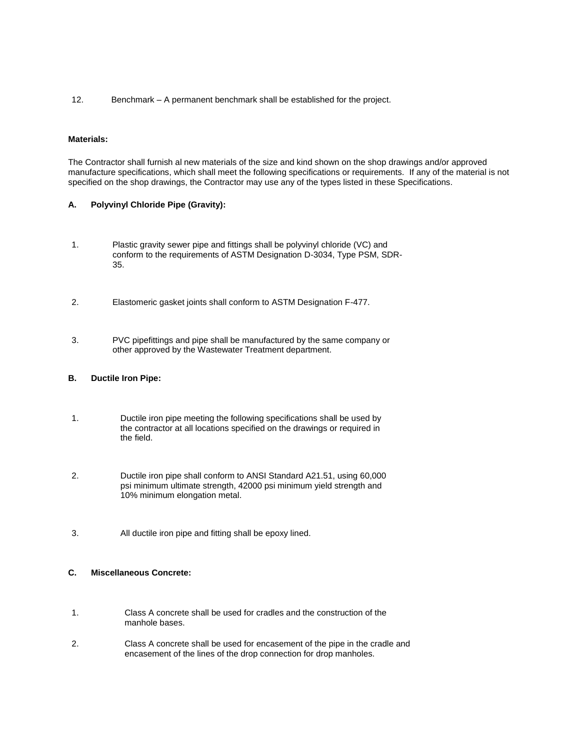12. Benchmark – A permanent benchmark shall be established for the project.

### **Materials:**

The Contractor shall furnish al new materials of the size and kind shown on the shop drawings and/or approved manufacture specifications, which shall meet the following specifications or requirements. If any of the material is not specified on the shop drawings, the Contractor may use any of the types listed in these Specifications.

### **A. Polyvinyl Chloride Pipe (Gravity):**

- 1. Plastic gravity sewer pipe and fittings shall be polyvinyl chloride (VC) and conform to the requirements of ASTM Designation D-3034, Type PSM, SDR-35.
- 2. Elastomeric gasket joints shall conform to ASTM Designation F-477.
- 3. PVC pipefittings and pipe shall be manufactured by the same company or other approved by the Wastewater Treatment department.

#### **B. Ductile Iron Pipe:**

- 1. Ductile iron pipe meeting the following specifications shall be used by the contractor at all locations specified on the drawings or required in the field.
- 2. Ductile iron pipe shall conform to ANSI Standard A21.51, using 60,000 psi minimum ultimate strength, 42000 psi minimum yield strength and 10% minimum elongation metal.
- 3. All ductile iron pipe and fitting shall be epoxy lined.

## **C. Miscellaneous Concrete:**

- 1. Class A concrete shall be used for cradles and the construction of the manhole bases.
- 2. Class A concrete shall be used for encasement of the pipe in the cradle and encasement of the lines of the drop connection for drop manholes.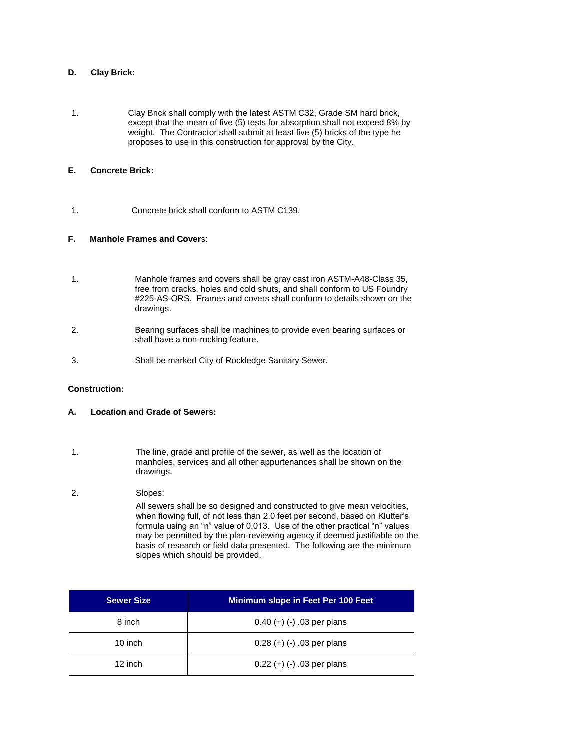## **D. Clay Brick:**

1. Clay Brick shall comply with the latest ASTM C32, Grade SM hard brick, except that the mean of five (5) tests for absorption shall not exceed 8% by weight. The Contractor shall submit at least five (5) bricks of the type he proposes to use in this construction for approval by the City.

## **E. Concrete Brick:**

1. Concrete brick shall conform to ASTM C139.

### **F. Manhole Frames and Cover**s:

- 1. Manhole frames and covers shall be gray cast iron ASTM-A48-Class 35, free from cracks, holes and cold shuts, and shall conform to US Foundry #225-AS-ORS. Frames and covers shall conform to details shown on the drawings.
- 2. Bearing surfaces shall be machines to provide even bearing surfaces or shall have a non-rocking feature.
- 3. Shall be marked City of Rockledge Sanitary Sewer.

### **Construction:**

- **A. Location and Grade of Sewers:**
- 1. The line, grade and profile of the sewer, as well as the location of manholes, services and all other appurtenances shall be shown on the drawings.

### 2. Slopes:

All sewers shall be so designed and constructed to give mean velocities, when flowing full, of not less than 2.0 feet per second, based on Klutter's formula using an "n" value of 0.013. Use of the other practical "n" values may be permitted by the plan-reviewing agency if deemed justifiable on the basis of research or field data presented. The following are the minimum slopes which should be provided.

| <b>Sewer Size</b> | Minimum slope in Feet Per 100 Feet |
|-------------------|------------------------------------|
| 8 inch            | $0.40 (+) (-) .03$ per plans       |
| 10 inch           | $0.28 (+) (-) .03$ per plans       |
| 12 inch           | $0.22 (+) (-) .03$ per plans       |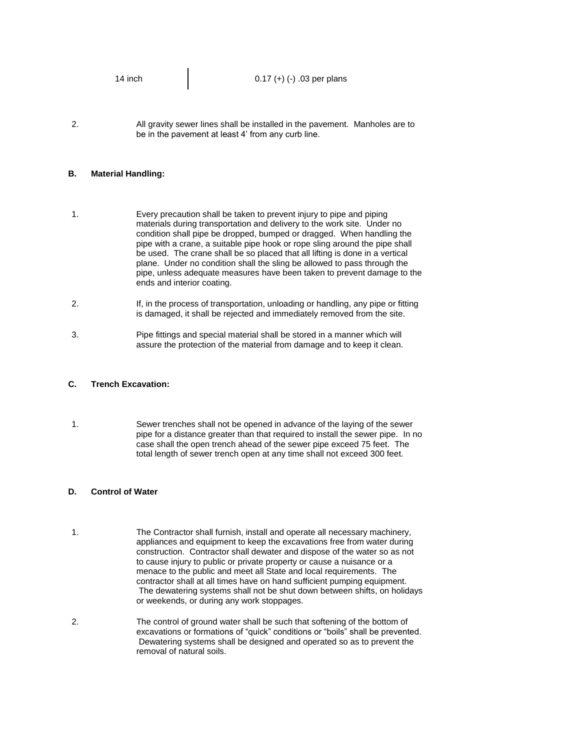| 14 inch | $0.17 (+) (-) .03$ per plans |
|---------|------------------------------|
|         |                              |

2. All gravity sewer lines shall be installed in the pavement. Manholes are to be in the pavement at least 4' from any curb line.

#### **B. Material Handling:**

1. Every precaution shall be taken to prevent injury to pipe and piping materials during transportation and delivery to the work site. Under no condition shall pipe be dropped, bumped or dragged. When handling the pipe with a crane, a suitable pipe hook or rope sling around the pipe shall be used. The crane shall be so placed that all lifting is done in a vertical plane. Under no condition shall the sling be allowed to pass through the pipe, unless adequate measures have been taken to prevent damage to the ends and interior coating.

- 2. If, in the process of transportation, unloading or handling, any pipe or fitting is damaged, it shall be rejected and immediately removed from the site.
- 3. Pipe fittings and special material shall be stored in a manner which will assure the protection of the material from damage and to keep it clean.

#### **C. Trench Excavation:**

1. Sewer trenches shall not be opened in advance of the laying of the sewer pipe for a distance greater than that required to install the sewer pipe. In no case shall the open trench ahead of the sewer pipe exceed 75 feet. The total length of sewer trench open at any time shall not exceed 300 feet.

#### **D. Control of Water**

- 1. The Contractor shall furnish, install and operate all necessary machinery, appliances and equipment to keep the excavations free from water during construction. Contractor shall dewater and dispose of the water so as not to cause injury to public or private property or cause a nuisance or a menace to the public and meet all State and local requirements. The contractor shall at all times have on hand sufficient pumping equipment. The dewatering systems shall not be shut down between shifts, on holidays or weekends, or during any work stoppages.
- 2. The control of ground water shall be such that softening of the bottom of excavations or formations of "quick" conditions or "boils" shall be prevented. Dewatering systems shall be designed and operated so as to prevent the removal of natural soils.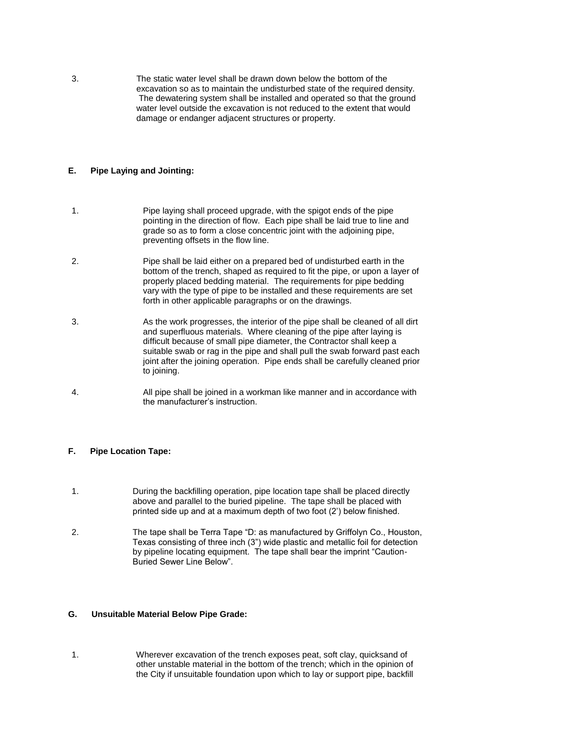3. The static water level shall be drawn down below the bottom of the excavation so as to maintain the undisturbed state of the required density. The dewatering system shall be installed and operated so that the ground water level outside the excavation is not reduced to the extent that would damage or endanger adjacent structures or property.

## **E. Pipe Laying and Jointing:**

- 1. Pipe laying shall proceed upgrade, with the spigot ends of the pipe pointing in the direction of flow. Each pipe shall be laid true to line and grade so as to form a close concentric joint with the adjoining pipe, preventing offsets in the flow line.
- 2. Pipe shall be laid either on a prepared bed of undisturbed earth in the bottom of the trench, shaped as required to fit the pipe, or upon a layer of properly placed bedding material. The requirements for pipe bedding vary with the type of pipe to be installed and these requirements are set forth in other applicable paragraphs or on the drawings.
- 3. As the work progresses, the interior of the pipe shall be cleaned of all dirt and superfluous materials. Where cleaning of the pipe after laying is difficult because of small pipe diameter, the Contractor shall keep a suitable swab or rag in the pipe and shall pull the swab forward past each joint after the joining operation. Pipe ends shall be carefully cleaned prior to joining.
- 4. All pipe shall be joined in a workman like manner and in accordance with the manufacturer's instruction.

### **F. Pipe Location Tape:**

- 1. During the backfilling operation, pipe location tape shall be placed directly above and parallel to the buried pipeline. The tape shall be placed with printed side up and at a maximum depth of two foot (2') below finished.
- 2. The tape shall be Terra Tape "D: as manufactured by Griffolyn Co., Houston, Texas consisting of three inch (3") wide plastic and metallic foil for detection by pipeline locating equipment. The tape shall bear the imprint "Caution-Buried Sewer Line Below".

### **G. Unsuitable Material Below Pipe Grade:**

<sup>1.</sup> Wherever excavation of the trench exposes peat, soft clay, quicksand of other unstable material in the bottom of the trench; which in the opinion of the City if unsuitable foundation upon which to lay or support pipe, backfill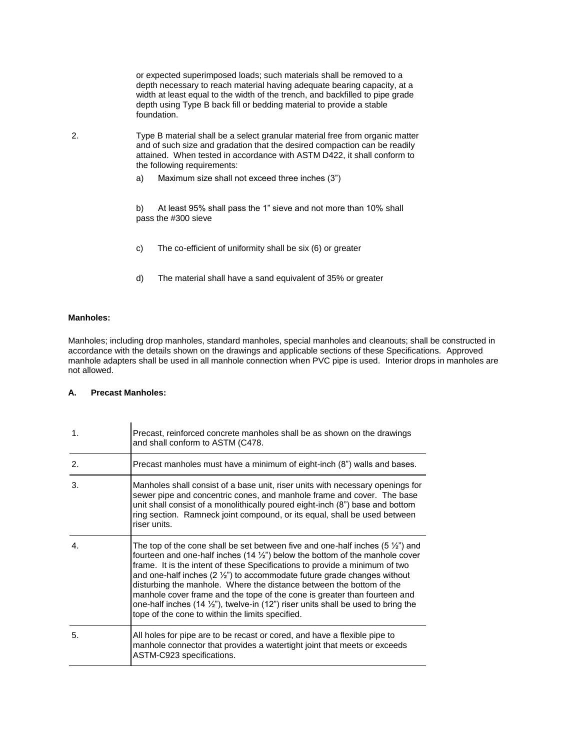or expected superimposed loads; such materials shall be removed to a depth necessary to reach material having adequate bearing capacity, at a width at least equal to the width of the trench, and backfilled to pipe grade depth using Type B back fill or bedding material to provide a stable foundation.

2. Type B material shall be a select granular material free from organic matter and of such size and gradation that the desired compaction can be readily attained. When tested in accordance with ASTM D422, it shall conform to the following requirements:

a) Maximum size shall not exceed three inches (3")

b) At least 95% shall pass the 1" sieve and not more than 10% shall pass the #300 sieve

- c) The co-efficient of uniformity shall be six (6) or greater
- d) The material shall have a sand equivalent of 35% or greater

### **Manholes:**

Manholes; including drop manholes, standard manholes, special manholes and cleanouts; shall be constructed in accordance with the details shown on the drawings and applicable sections of these Specifications. Approved manhole adapters shall be used in all manhole connection when PVC pipe is used. Interior drops in manholes are not allowed.

### **A. Precast Manholes:**

 $\mathbf{r}$ 

| 1. | Precast, reinforced concrete manholes shall be as shown on the drawings<br>and shall conform to ASTM (C478.                                                                                                                                                                                                                                                                                                                                                                                                                                                                                                                                                     |
|----|-----------------------------------------------------------------------------------------------------------------------------------------------------------------------------------------------------------------------------------------------------------------------------------------------------------------------------------------------------------------------------------------------------------------------------------------------------------------------------------------------------------------------------------------------------------------------------------------------------------------------------------------------------------------|
| 2. | Precast manholes must have a minimum of eight-inch (8") walls and bases.                                                                                                                                                                                                                                                                                                                                                                                                                                                                                                                                                                                        |
| 3. | Manholes shall consist of a base unit, riser units with necessary openings for<br>sewer pipe and concentric cones, and manhole frame and cover. The base<br>unit shall consist of a monolithically poured eight-inch (8") base and bottom<br>ring section. Ramneck joint compound, or its equal, shall be used between<br>riser units.                                                                                                                                                                                                                                                                                                                          |
| 4. | The top of the cone shall be set between five and one-half inches (5 $\frac{1}{2}$ ) and<br>fourteen and one-half inches (14 $\frac{1}{2}$ ) below the bottom of the manhole cover<br>frame. It is the intent of these Specifications to provide a minimum of two<br>and one-half inches $(2 \frac{1}{2})$ to accommodate future grade changes without<br>disturbing the manhole. Where the distance between the bottom of the<br>manhole cover frame and the tope of the cone is greater than fourteen and<br>one-half inches (14 $\frac{1}{2}$ "), twelve-in (12") riser units shall be used to bring the<br>tope of the cone to within the limits specified. |
| 5. | All holes for pipe are to be recast or cored, and have a flexible pipe to<br>manhole connector that provides a watertight joint that meets or exceeds<br>ASTM-C923 specifications.                                                                                                                                                                                                                                                                                                                                                                                                                                                                              |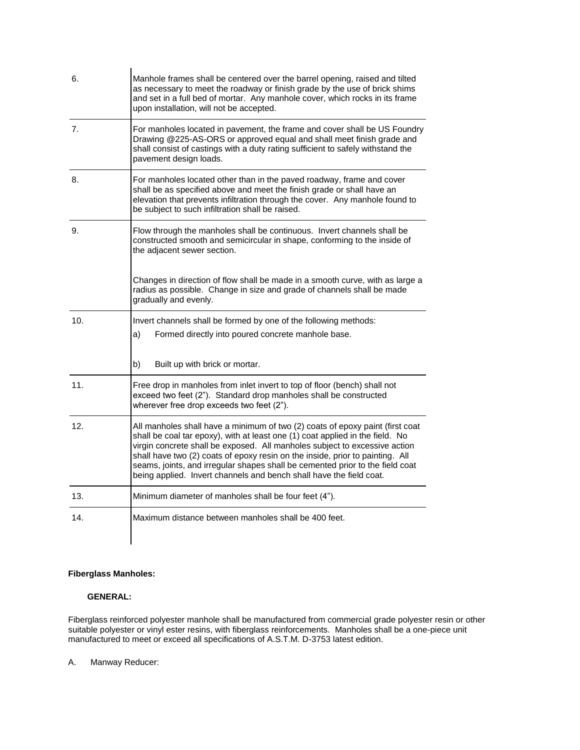| 6.  | Manhole frames shall be centered over the barrel opening, raised and tilted<br>as necessary to meet the roadway or finish grade by the use of brick shims<br>and set in a full bed of mortar. Any manhole cover, which rocks in its frame<br>upon installation, will not be accepted.                                                                                                                                                                                                 |
|-----|---------------------------------------------------------------------------------------------------------------------------------------------------------------------------------------------------------------------------------------------------------------------------------------------------------------------------------------------------------------------------------------------------------------------------------------------------------------------------------------|
| 7.  | For manholes located in pavement, the frame and cover shall be US Foundry<br>Drawing @225-AS-ORS or approved equal and shall meet finish grade and<br>shall consist of castings with a duty rating sufficient to safely withstand the<br>pavement design loads.                                                                                                                                                                                                                       |
| 8.  | For manholes located other than in the paved roadway, frame and cover<br>shall be as specified above and meet the finish grade or shall have an<br>elevation that prevents infiltration through the cover. Any manhole found to<br>be subject to such infiltration shall be raised.                                                                                                                                                                                                   |
| 9.  | Flow through the manholes shall be continuous. Invert channels shall be<br>constructed smooth and semicircular in shape, conforming to the inside of<br>the adjacent sewer section.                                                                                                                                                                                                                                                                                                   |
|     | Changes in direction of flow shall be made in a smooth curve, with as large a<br>radius as possible. Change in size and grade of channels shall be made<br>gradually and evenly.                                                                                                                                                                                                                                                                                                      |
| 10. | Invert channels shall be formed by one of the following methods:<br>Formed directly into poured concrete manhole base.<br>a)                                                                                                                                                                                                                                                                                                                                                          |
|     | b)<br>Built up with brick or mortar.                                                                                                                                                                                                                                                                                                                                                                                                                                                  |
| 11. | Free drop in manholes from inlet invert to top of floor (bench) shall not<br>exceed two feet (2"). Standard drop manholes shall be constructed<br>wherever free drop exceeds two feet (2").                                                                                                                                                                                                                                                                                           |
| 12. | All manholes shall have a minimum of two (2) coats of epoxy paint (first coat<br>shall be coal tar epoxy), with at least one (1) coat applied in the field. No<br>virgin concrete shall be exposed. All manholes subject to excessive action<br>shall have two (2) coats of epoxy resin on the inside, prior to painting. All<br>seams, joints, and irregular shapes shall be cemented prior to the field coat<br>being applied. Invert channels and bench shall have the field coat. |
| 13. | Minimum diameter of manholes shall be four feet (4").                                                                                                                                                                                                                                                                                                                                                                                                                                 |
| 14. | Maximum distance between manholes shall be 400 feet.                                                                                                                                                                                                                                                                                                                                                                                                                                  |

# **Fiberglass Manholes:**

## **GENERAL:**

Fiberglass reinforced polyester manhole shall be manufactured from commercial grade polyester resin or other suitable polyester or vinyl ester resins, with fiberglass reinforcements. Manholes shall be a one-piece unit manufactured to meet or exceed all specifications of A.S.T.M. D-3753 latest edition.

A. Manway Reducer: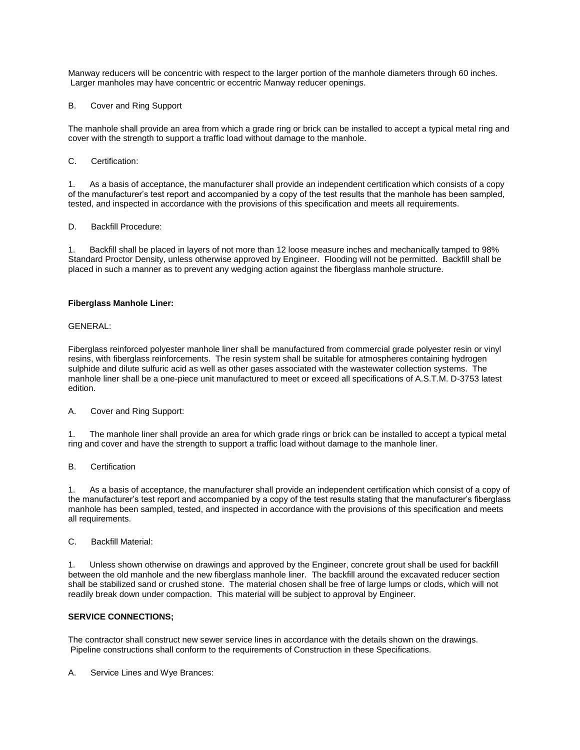Manway reducers will be concentric with respect to the larger portion of the manhole diameters through 60 inches. Larger manholes may have concentric or eccentric Manway reducer openings.

B. Cover and Ring Support

The manhole shall provide an area from which a grade ring or brick can be installed to accept a typical metal ring and cover with the strength to support a traffic load without damage to the manhole.

C. Certification:

1. As a basis of acceptance, the manufacturer shall provide an independent certification which consists of a copy of the manufacturer's test report and accompanied by a copy of the test results that the manhole has been sampled, tested, and inspected in accordance with the provisions of this specification and meets all requirements.

D. Backfill Procedure:

1. Backfill shall be placed in layers of not more than 12 loose measure inches and mechanically tamped to 98% Standard Proctor Density, unless otherwise approved by Engineer. Flooding will not be permitted. Backfill shall be placed in such a manner as to prevent any wedging action against the fiberglass manhole structure.

### **Fiberglass Manhole Liner:**

GENERAL:

Fiberglass reinforced polyester manhole liner shall be manufactured from commercial grade polyester resin or vinyl resins, with fiberglass reinforcements. The resin system shall be suitable for atmospheres containing hydrogen sulphide and dilute sulfuric acid as well as other gases associated with the wastewater collection systems. The manhole liner shall be a one-piece unit manufactured to meet or exceed all specifications of A.S.T.M. D-3753 latest edition.

A. Cover and Ring Support:

1. The manhole liner shall provide an area for which grade rings or brick can be installed to accept a typical metal ring and cover and have the strength to support a traffic load without damage to the manhole liner.

B. Certification

1. As a basis of acceptance, the manufacturer shall provide an independent certification which consist of a copy of the manufacturer's test report and accompanied by a copy of the test results stating that the manufacturer's fiberglass manhole has been sampled, tested, and inspected in accordance with the provisions of this specification and meets all requirements.

C. Backfill Material:

1. Unless shown otherwise on drawings and approved by the Engineer, concrete grout shall be used for backfill between the old manhole and the new fiberglass manhole liner. The backfill around the excavated reducer section shall be stabilized sand or crushed stone. The material chosen shall be free of large lumps or clods, which will not readily break down under compaction. This material will be subject to approval by Engineer.

#### **SERVICE CONNECTIONS;**

The contractor shall construct new sewer service lines in accordance with the details shown on the drawings. Pipeline constructions shall conform to the requirements of Construction in these Specifications.

A. Service Lines and Wye Brances: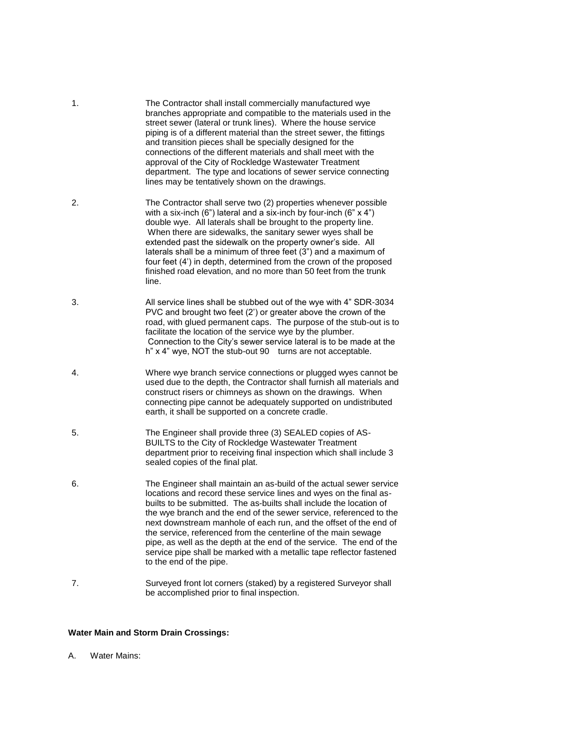- 1. The Contractor shall install commercially manufactured wye branches appropriate and compatible to the materials used in the street sewer (lateral or trunk lines). Where the house service piping is of a different material than the street sewer, the fittings and transition pieces shall be specially designed for the connections of the different materials and shall meet with the approval of the City of Rockledge Wastewater Treatment department. The type and locations of sewer service connecting lines may be tentatively shown on the drawings.
- 2. The Contractor shall serve two (2) properties whenever possible with a six-inch  $(6")$  lateral and a six-inch by four-inch  $(6" \times 4")$ double wye. All laterals shall be brought to the property line. When there are sidewalks, the sanitary sewer wyes shall be extended past the sidewalk on the property owner's side. All laterals shall be a minimum of three feet (3") and a maximum of four feet (4') in depth, determined from the crown of the proposed finished road elevation, and no more than 50 feet from the trunk line.
- 3. All service lines shall be stubbed out of the wye with 4" SDR-3034 PVC and brought two feet (2') or greater above the crown of the road, with glued permanent caps. The purpose of the stub-out is to facilitate the location of the service wye by the plumber. Connection to the City's sewer service lateral is to be made at the h" x 4" wye, NOT the stub-out 90 turns are not acceptable.
- 4. Where wye branch service connections or plugged wyes cannot be used due to the depth, the Contractor shall furnish all materials and construct risers or chimneys as shown on the drawings. When connecting pipe cannot be adequately supported on undistributed earth, it shall be supported on a concrete cradle.
- 5. The Engineer shall provide three (3) SEALED copies of AS-BUILTS to the City of Rockledge Wastewater Treatment department prior to receiving final inspection which shall include 3 sealed copies of the final plat.
- 6. The Engineer shall maintain an as-build of the actual sewer service locations and record these service lines and wyes on the final asbuilts to be submitted. The as-builts shall include the location of the wye branch and the end of the sewer service, referenced to the next downstream manhole of each run, and the offset of the end of the service, referenced from the centerline of the main sewage pipe, as well as the depth at the end of the service. The end of the service pipe shall be marked with a metallic tape reflector fastened to the end of the pipe.
- 7. Surveyed front lot corners (staked) by a registered Surveyor shall be accomplished prior to final inspection.

### **Water Main and Storm Drain Crossings:**

A. Water Mains: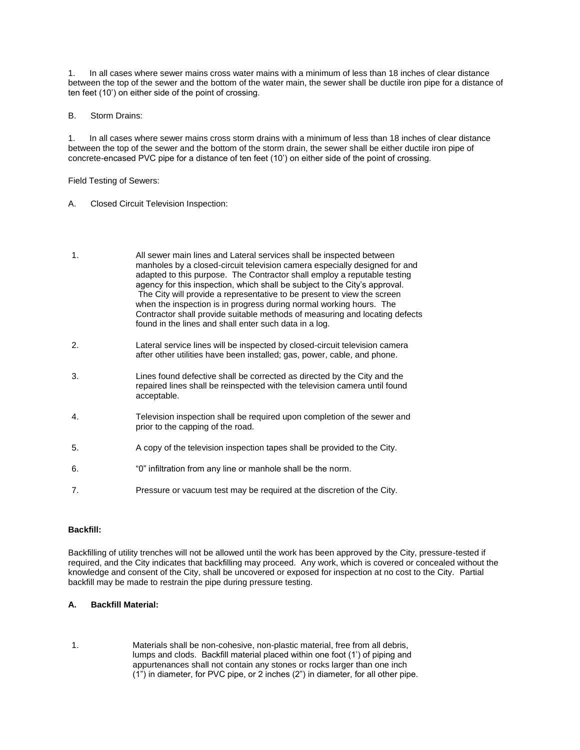1. In all cases where sewer mains cross water mains with a minimum of less than 18 inches of clear distance between the top of the sewer and the bottom of the water main, the sewer shall be ductile iron pipe for a distance of ten feet (10') on either side of the point of crossing.

B. Storm Drains:

1. In all cases where sewer mains cross storm drains with a minimum of less than 18 inches of clear distance between the top of the sewer and the bottom of the storm drain, the sewer shall be either ductile iron pipe of concrete-encased PVC pipe for a distance of ten feet (10') on either side of the point of crossing.

Field Testing of Sewers:

- A. Closed Circuit Television Inspection:
- 1. All sewer main lines and Lateral services shall be inspected between manholes by a closed-circuit television camera especially designed for and adapted to this purpose. The Contractor shall employ a reputable testing agency for this inspection, which shall be subject to the City's approval. The City will provide a representative to be present to view the screen when the inspection is in progress during normal working hours. The Contractor shall provide suitable methods of measuring and locating defects found in the lines and shall enter such data in a log.
- 2. Lateral service lines will be inspected by closed-circuit television camera after other utilities have been installed; gas, power, cable, and phone.
- 3. Lines found defective shall be corrected as directed by the City and the repaired lines shall be reinspected with the television camera until found acceptable.
- 4. Television inspection shall be required upon completion of the sewer and prior to the capping of the road.
- 5. A copy of the television inspection tapes shall be provided to the City.
- 6. "0" infiltration from any line or manhole shall be the norm.
- 7. Pressure or vacuum test may be required at the discretion of the City.

#### **Backfill:**

Backfilling of utility trenches will not be allowed until the work has been approved by the City, pressure-tested if required, and the City indicates that backfilling may proceed. Any work, which is covered or concealed without the knowledge and consent of the City, shall be uncovered or exposed for inspection at no cost to the City. Partial backfill may be made to restrain the pipe during pressure testing.

### **A. Backfill Material:**

1. Materials shall be non-cohesive, non-plastic material, free from all debris, lumps and clods. Backfill material placed within one foot (1') of piping and appurtenances shall not contain any stones or rocks larger than one inch (1") in diameter, for PVC pipe, or 2 inches (2") in diameter, for all other pipe.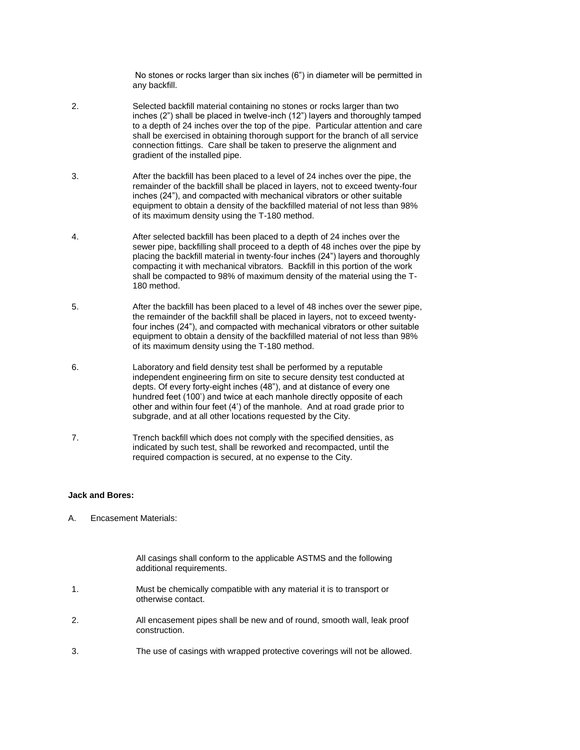No stones or rocks larger than six inches (6") in diameter will be permitted in any backfill.

- 2. Selected backfill material containing no stones or rocks larger than two inches (2") shall be placed in twelve-inch (12") layers and thoroughly tamped to a depth of 24 inches over the top of the pipe. Particular attention and care shall be exercised in obtaining thorough support for the branch of all service connection fittings. Care shall be taken to preserve the alignment and gradient of the installed pipe.
- 3. After the backfill has been placed to a level of 24 inches over the pipe, the remainder of the backfill shall be placed in layers, not to exceed twenty-four inches (24"), and compacted with mechanical vibrators or other suitable equipment to obtain a density of the backfilled material of not less than 98% of its maximum density using the T-180 method.
- 4. After selected backfill has been placed to a depth of 24 inches over the sewer pipe, backfilling shall proceed to a depth of 48 inches over the pipe by placing the backfill material in twenty-four inches (24") layers and thoroughly compacting it with mechanical vibrators. Backfill in this portion of the work shall be compacted to 98% of maximum density of the material using the T-180 method.
- 5. After the backfill has been placed to a level of 48 inches over the sewer pipe, the remainder of the backfill shall be placed in layers, not to exceed twentyfour inches (24"), and compacted with mechanical vibrators or other suitable equipment to obtain a density of the backfilled material of not less than 98% of its maximum density using the T-180 method.
- 6. Laboratory and field density test shall be performed by a reputable independent engineering firm on site to secure density test conducted at depts. Of every forty-eight inches (48"), and at distance of every one hundred feet (100') and twice at each manhole directly opposite of each other and within four feet (4') of the manhole. And at road grade prior to subgrade, and at all other locations requested by the City.
- 7. Trench backfill which does not comply with the specified densities, as indicated by such test, shall be reworked and recompacted, until the required compaction is secured, at no expense to the City.

## **Jack and Bores:**

A. Encasement Materials:

All casings shall conform to the applicable ASTMS and the following additional requirements.

- 1. Must be chemically compatible with any material it is to transport or otherwise contact.
- 2. All encasement pipes shall be new and of round, smooth wall, leak proof construction.
- 3. The use of casings with wrapped protective coverings will not be allowed.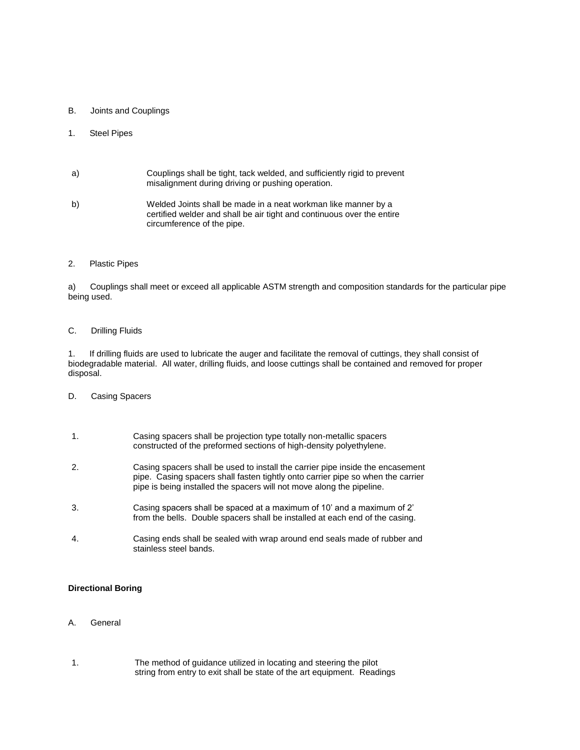### B. Joints and Couplings

## 1. Steel Pipes

| a) | Couplings shall be tight, tack welded, and sufficiently rigid to prevent |
|----|--------------------------------------------------------------------------|
|    | misalignment during driving or pushing operation.                        |

b) Welded Joints shall be made in a neat workman like manner by a certified welder and shall be air tight and continuous over the entire circumference of the pipe.

### 2. Plastic Pipes

a) Couplings shall meet or exceed all applicable ASTM strength and composition standards for the particular pipe being used.

### C. Drilling Fluids

1. If drilling fluids are used to lubricate the auger and facilitate the removal of cuttings, they shall consist of biodegradable material. All water, drilling fluids, and loose cuttings shall be contained and removed for proper disposal.

D. Casing Spacers

| 1.               | Casing spacers shall be projection type totally non-metallic spacers<br>constructed of the preformed sections of high-density polyethylene.                                                                                                |
|------------------|--------------------------------------------------------------------------------------------------------------------------------------------------------------------------------------------------------------------------------------------|
| $\overline{2}$ . | Casing spacers shall be used to install the carrier pipe inside the encasement<br>pipe. Casing spacers shall fasten tightly onto carrier pipe so when the carrier<br>pipe is being installed the spacers will not move along the pipeline. |
| 3.               | Casing spacers shall be spaced at a maximum of 10' and a maximum of 2'<br>from the bells. Double spacers shall be installed at each end of the casing.                                                                                     |
| 4.               | Casing ends shall be sealed with wrap around end seals made of rubber and<br>stainless steel bands.                                                                                                                                        |

# **Directional Boring**

- A. General
- 1. The method of guidance utilized in locating and steering the pilot string from entry to exit shall be state of the art equipment. Readings